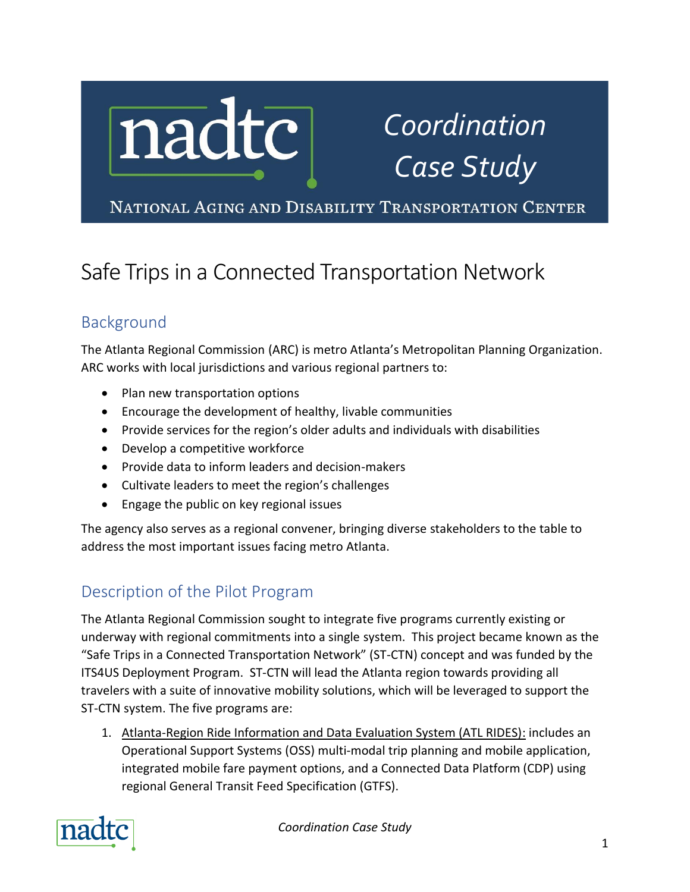

# *Coordination Case Study*

NATIONAL AGING AND DISABILITY TRANSPORTATION CENTER

# Safe Trips in a Connected Transportation Network

# Background

The Atlanta Regional Commission (ARC) is metro Atlanta's Metropolitan Planning Organization. ARC works with local jurisdictions and various regional partners to:

- Plan new transportation options
- Encourage the development of healthy, livable communities
- Provide services for the region's older adults and individuals with disabilities
- Develop a competitive workforce
- Provide data to inform leaders and decision-makers
- Cultivate leaders to meet the region's challenges
- Engage the public on key regional issues

The agency also serves as a regional convener, bringing diverse stakeholders to the table to address the most important issues facing metro Atlanta.

# Description of the Pilot Program

The Atlanta Regional Commission sought to integrate five programs currently existing or underway with regional commitments into a single system. This project became known as the "Safe Trips in a Connected Transportation Network" (ST-CTN) concept and was funded by the ITS4US Deployment Program. ST-CTN will lead the Atlanta region towards providing all travelers with a suite of innovative mobility solutions, which will be leveraged to support the ST-CTN system. The five programs are:

1. Atlanta-Region Ride Information and Data Evaluation System (ATL RIDES): includes an Operational Support Systems (OSS) multi-modal trip planning and mobile application, integrated mobile fare payment options, and a Connected Data Platform (CDP) using regional General Transit Feed Specification (GTFS).



*Coordination Case Study*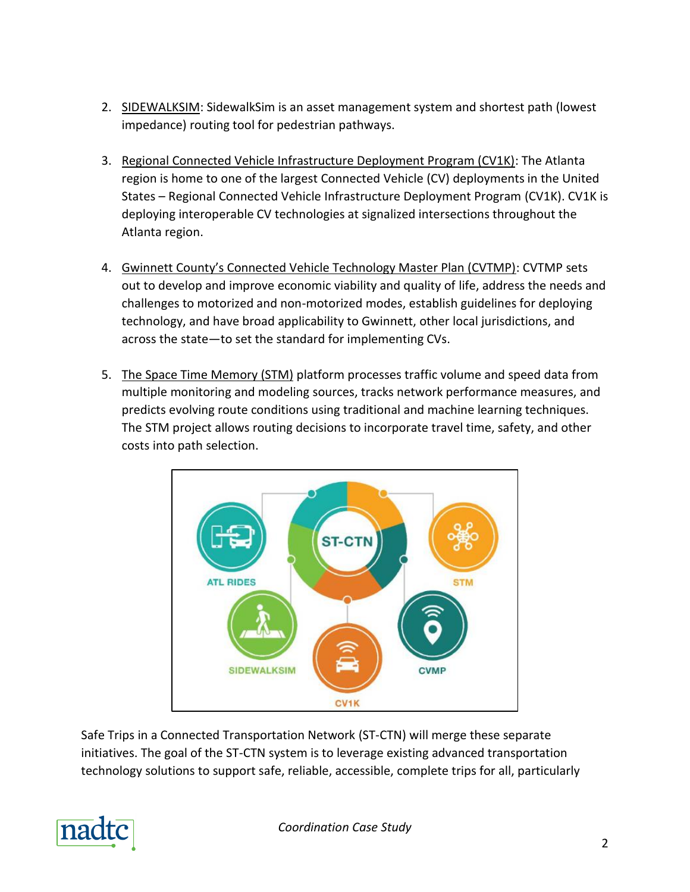- 2. SIDEWALKSIM: SidewalkSim is an asset management system and shortest path (lowest impedance) routing tool for pedestrian pathways.
- 3. Regional Connected Vehicle Infrastructure Deployment Program (CV1K): The Atlanta region is home to one of the largest Connected Vehicle (CV) deployments in the United States – Regional Connected Vehicle Infrastructure Deployment Program (CV1K). CV1K is deploying interoperable CV technologies at signalized intersections throughout the Atlanta region.
- 4. Gwinnett County's Connected Vehicle Technology Master Plan (CVTMP): CVTMP sets out to develop and improve economic viability and quality of life, address the needs and challenges to motorized and non-motorized modes, establish guidelines for deploying technology, and have broad applicability to Gwinnett, other local jurisdictions, and across the state—to set the standard for implementing CVs.
- 5. The Space Time Memory (STM) platform processes traffic volume and speed data from multiple monitoring and modeling sources, tracks network performance measures, and predicts evolving route conditions using traditional and machine learning techniques. The STM project allows routing decisions to incorporate travel time, safety, and other costs into path selection.



Safe Trips in a Connected Transportation Network (ST-CTN) will merge these separate initiatives. The goal of the ST-CTN system is to leverage existing advanced transportation technology solutions to support safe, reliable, accessible, complete trips for all, particularly

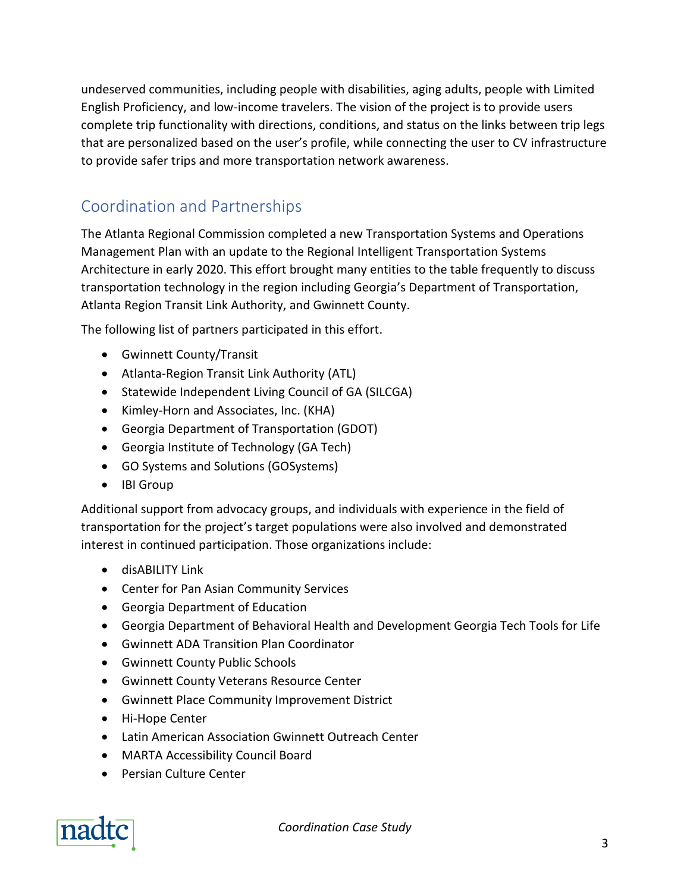undeserved communities, including people with disabilities, aging adults, people with Limited English Proficiency, and low-income travelers. The vision of the project is to provide users complete trip functionality with directions, conditions, and status on the links between trip legs that are personalized based on the user's profile, while connecting the user to CV infrastructure to provide safer trips and more transportation network awareness.

### Coordination and Partnerships

The Atlanta Regional Commission completed a new Transportation Systems and Operations Management Plan with an update to the Regional Intelligent Transportation Systems Architecture in early 2020. This effort brought many entities to the table frequently to discuss transportation technology in the region including Georgia's Department of Transportation, Atlanta Region Transit Link Authority, and Gwinnett County.

The following list of partners participated in this effort.

- Gwinnett County/Transit
- Atlanta-Region Transit Link Authority (ATL)
- Statewide Independent Living Council of GA (SILCGA)
- Kimley-Horn and Associates, Inc. (KHA)
- Georgia Department of Transportation (GDOT)
- Georgia Institute of Technology (GA Tech)
- GO Systems and Solutions (GOSystems)
- IBI Group

Additional support from advocacy groups, and individuals with experience in the field of transportation for the project's target populations were also involved and demonstrated interest in continued participation. Those organizations include:

- disABILITY Link
- Center for Pan Asian Community Services
- Georgia Department of Education
- Georgia Department of Behavioral Health and Development Georgia Tech Tools for Life
- Gwinnett ADA Transition Plan Coordinator
- Gwinnett County Public Schools
- Gwinnett County Veterans Resource Center
- Gwinnett Place Community Improvement District
- Hi-Hope Center
- Latin American Association Gwinnett Outreach Center
- MARTA Accessibility Council Board
- Persian Culture Center



*Coordination Case Study*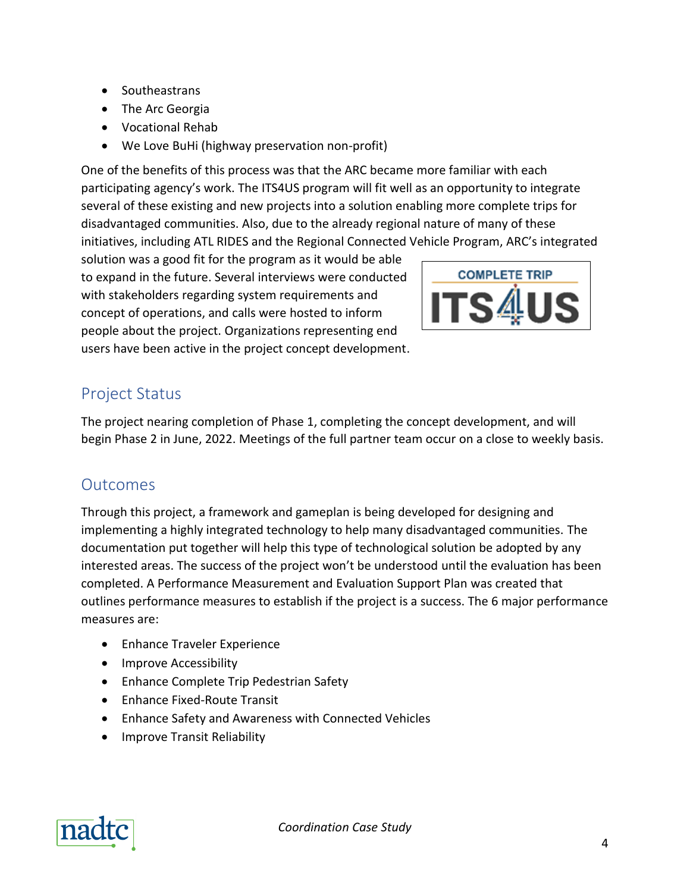- Southeastrans
- The Arc Georgia
- Vocational Rehab
- We Love BuHi (highway preservation non-profit)

One of the benefits of this process was that the ARC became more familiar with each participating agency's work. The ITS4US program will fit well as an opportunity to integrate several of these existing and new projects into a solution enabling more complete trips for disadvantaged communities. Also, due to the already regional nature of many of these initiatives, including ATL RIDES and the Regional Connected Vehicle Program, ARC's integrated

solution was a good fit for the program as it would be able to expand in the future. Several interviews were conducted with stakeholders regarding system requirements and concept of operations, and calls were hosted to inform people about the project. Organizations representing end users have been active in the project concept development.



#### Project Status

The project nearing completion of Phase 1, completing the concept development, and will begin Phase 2 in June, 2022. Meetings of the full partner team occur on a close to weekly basis.

#### **Outcomes**

Through this project, a framework and gameplan is being developed for designing and implementing a highly integrated technology to help many disadvantaged communities. The documentation put together will help this type of technological solution be adopted by any interested areas. The success of the project won't be understood until the evaluation has been completed. A Performance Measurement and Evaluation Support Plan was created that outlines performance measures to establish if the project is a success. The 6 major performance measures are:

- Enhance Traveler Experience
- Improve Accessibility
- Enhance Complete Trip Pedestrian Safety
- Enhance Fixed-Route Transit
- Enhance Safety and Awareness with Connected Vehicles
- Improve Transit Reliability

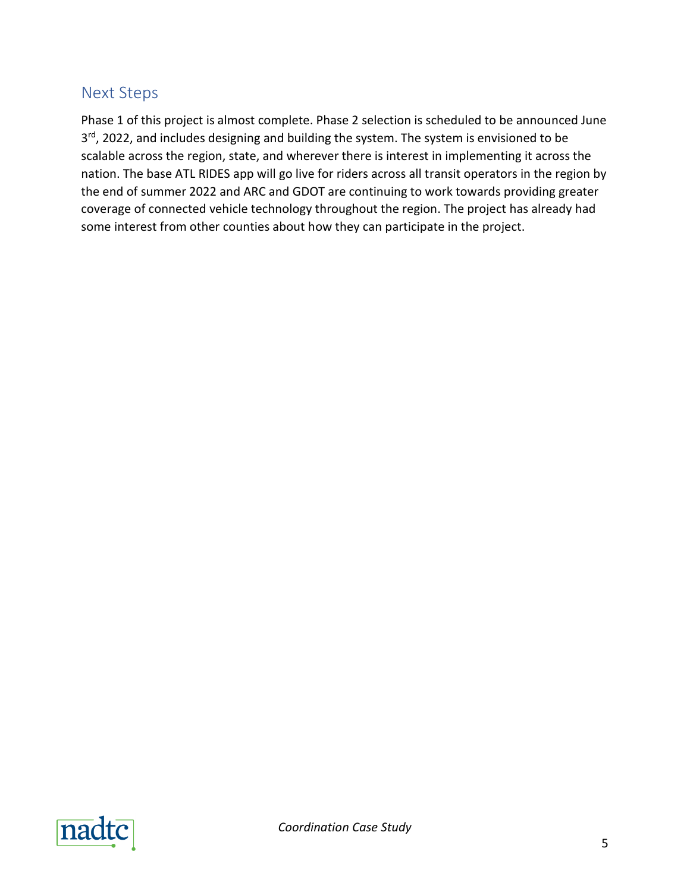#### Next Steps

Phase 1 of this project is almost complete. Phase 2 selection is scheduled to be announced June 3<sup>rd</sup>, 2022, and includes designing and building the system. The system is envisioned to be scalable across the region, state, and wherever there is interest in implementing it across the nation. The base ATL RIDES app will go live for riders across all transit operators in the region by the end of summer 2022 and ARC and GDOT are continuing to work towards providing greater coverage of connected vehicle technology throughout the region. The project has already had some interest from other counties about how they can participate in the project.